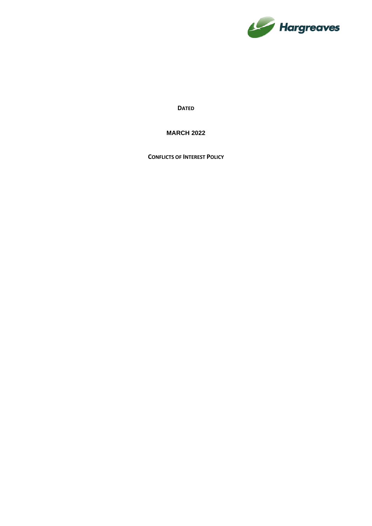

**DATED**

**MARCH 2022**

**CONFLICTS OF INTEREST POLICY**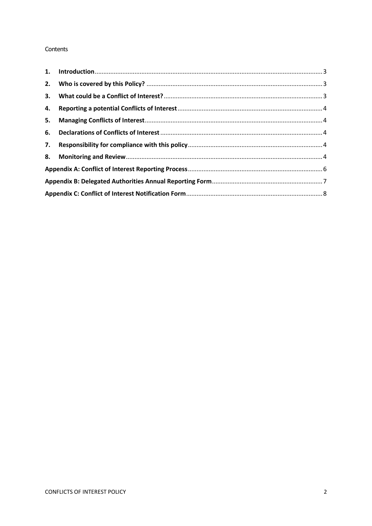#### Contents

| 3. |  |  |  |  |
|----|--|--|--|--|
| 4. |  |  |  |  |
| 5. |  |  |  |  |
|    |  |  |  |  |
| 7. |  |  |  |  |
|    |  |  |  |  |
|    |  |  |  |  |
|    |  |  |  |  |
|    |  |  |  |  |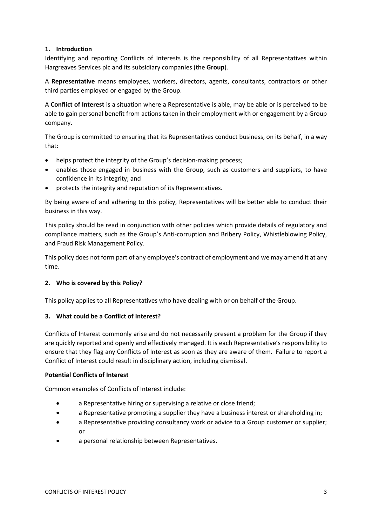## <span id="page-2-0"></span>**1. Introduction**

Identifying and reporting Conflicts of Interests is the responsibility of all Representatives within Hargreaves Services plc and its subsidiary companies (the **Group**).

A **Representative** means employees, workers, directors, agents, consultants, contractors or other third parties employed or engaged by the Group.

A **Conflict of Interest** is a situation where a Representative is able, may be able or is perceived to be able to gain personal benefit from actions taken in their employment with or engagement by a Group company.

The Group is committed to ensuring that its Representatives conduct business, on its behalf, in a way that:

- helps protect the integrity of the Group's decision-making process;
- enables those engaged in business with the Group, such as customers and suppliers, to have confidence in its integrity; and
- protects the integrity and reputation of its Representatives.

By being aware of and adhering to this policy, Representatives will be better able to conduct their business in this way.

This policy should be read in conjunction with other policies which provide details of regulatory and compliance matters, such as the Group's Anti-corruption and Bribery Policy, Whistleblowing Policy, and Fraud Risk Management Policy.

This policy does not form part of any employee's contract of employment and we may amend it at any time.

### <span id="page-2-1"></span>**2. Who is covered by this Policy?**

<span id="page-2-2"></span>This policy applies to all Representatives who have dealing with or on behalf of the Group.

### **3. What could be a Conflict of Interest?**

Conflicts of Interest commonly arise and do not necessarily present a problem for the Group if they are quickly reported and openly and effectively managed. It is each Representative's responsibility to ensure that they flag any Conflicts of Interest as soon as they are aware of them. Failure to report a Conflict of Interest could result in disciplinary action, including dismissal.

### **Potential Conflicts of Interest**

Common examples of Conflicts of Interest include:

- a Representative hiring or supervising a relative or close friend;
- a Representative promoting a supplier they have a business interest or shareholding in;
- a Representative providing consultancy work or advice to a Group customer or supplier; or
- a personal relationship between Representatives.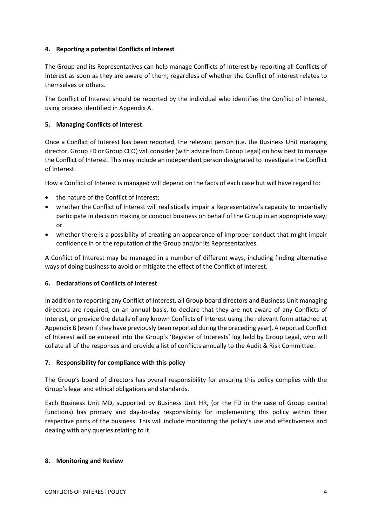## <span id="page-3-0"></span>**4. Reporting a potential Conflicts of Interest**

The Group and its Representatives can help manage Conflicts of Interest by reporting all Conflicts of Interest as soon as they are aware of them, regardless of whether the Conflict of Interest relates to themselves or others.

The Conflict of Interest should be reported by the individual who identifies the Conflict of Interest, using process identified in Appendix A.

## <span id="page-3-1"></span>**5. Managing Conflicts of Interest**

Once a Conflict of Interest has been reported, the relevant person (i.e. the Business Unit managing director, Group FD or Group CEO) will consider (with advice from Group Legal) on how best to manage the Conflict of Interest. This may include an independent person designated to investigate the Conflict of Interest.

How a Conflict of Interest is managed will depend on the facts of each case but will have regard to:

- the nature of the Conflict of Interest;
- whether the Conflict of Interest will realistically impair a Representative's capacity to impartially participate in decision making or conduct business on behalf of the Group in an appropriate way; or
- whether there is a possibility of creating an appearance of improper conduct that might impair confidence in or the reputation of the Group and/or its Representatives.

A Conflict of Interest may be managed in a number of different ways, including finding alternative ways of doing business to avoid or mitigate the effect of the Conflict of Interest.

## <span id="page-3-2"></span>**6. Declarations of Conflicts of Interest**

In addition to reporting any Conflict of Interest, all Group board directors and Business Unit managing directors are required, on an annual basis, to declare that they are not aware of any Conflicts of Interest, or provide the details of any known Conflicts of Interest using the relevant form attached at Appendix B (even if they have previously been reported during the preceding year). A reported Conflict of Interest will be entered into the Group's 'Register of Interests' log held by Group Legal, who will collate all of the responses and provide a list of conflicts annually to the Audit & Risk Committee.

### <span id="page-3-3"></span>**7. Responsibility for compliance with this policy**

The Group's board of directors has overall responsibility for ensuring this policy complies with the Group's legal and ethical obligations and standards.

Each Business Unit MD, supported by Business Unit HR, (or the FD in the case of Group central functions) has primary and day-to-day responsibility for implementing this policy within their respective parts of the business. This will include monitoring the policy's use and effectiveness and dealing with any queries relating to it.

### <span id="page-3-4"></span>**8. Monitoring and Review**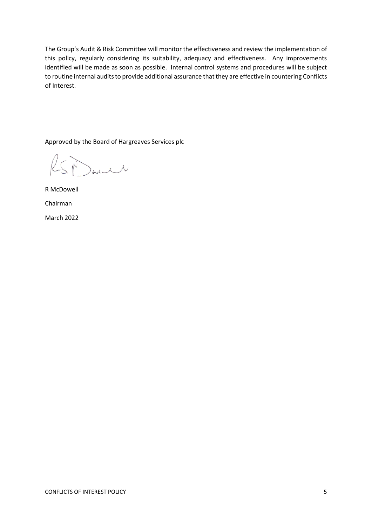The Group's Audit & Risk Committee will monitor the effectiveness and review the implementation of this policy, regularly considering its suitability, adequacy and effectiveness. Any improvements identified will be made as soon as possible. Internal control systems and procedures will be subject to routine internal audits to provide additional assurance that they are effective in countering Conflicts of Interest.

Approved by the Board of Hargreaves Services plc

SParit

R McDowell Chairman March 2022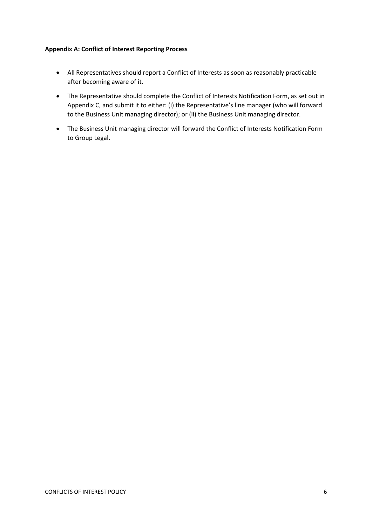## <span id="page-5-0"></span>**Appendix A: Conflict of Interest Reporting Process**

- All Representatives should report a Conflict of Interests as soon as reasonably practicable after becoming aware of it.
- The Representative should complete the Conflict of Interests Notification Form, as set out in Appendix C, and submit it to either: (i) the Representative's line manager (who will forward to the Business Unit managing director); or (ii) the Business Unit managing director.
- The Business Unit managing director will forward the Conflict of Interests Notification Form to Group Legal.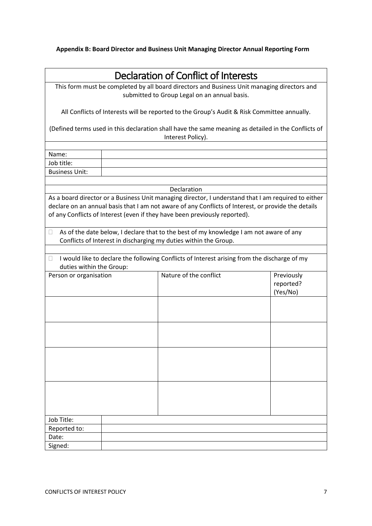<span id="page-6-0"></span>**Appendix B: Board Director and Business Unit Managing Director Annual Reporting Form** 

| Declaration of Conflict of Interests                                                                                                                                                                                                                                                     |  |                        |                                     |  |  |  |  |
|------------------------------------------------------------------------------------------------------------------------------------------------------------------------------------------------------------------------------------------------------------------------------------------|--|------------------------|-------------------------------------|--|--|--|--|
| This form must be completed by all board directors and Business Unit managing directors and<br>submitted to Group Legal on an annual basis.                                                                                                                                              |  |                        |                                     |  |  |  |  |
| All Conflicts of Interests will be reported to the Group's Audit & Risk Committee annually.                                                                                                                                                                                              |  |                        |                                     |  |  |  |  |
| (Defined terms used in this declaration shall have the same meaning as detailed in the Conflicts of<br>Interest Policy).                                                                                                                                                                 |  |                        |                                     |  |  |  |  |
|                                                                                                                                                                                                                                                                                          |  |                        |                                     |  |  |  |  |
| Name:                                                                                                                                                                                                                                                                                    |  |                        |                                     |  |  |  |  |
| Job title:                                                                                                                                                                                                                                                                               |  |                        |                                     |  |  |  |  |
| <b>Business Unit:</b>                                                                                                                                                                                                                                                                    |  |                        |                                     |  |  |  |  |
|                                                                                                                                                                                                                                                                                          |  |                        |                                     |  |  |  |  |
|                                                                                                                                                                                                                                                                                          |  | Declaration            |                                     |  |  |  |  |
| As a board director or a Business Unit managing director, I understand that I am required to either<br>declare on an annual basis that I am not aware of any Conflicts of Interest, or provide the details<br>of any Conflicts of Interest (even if they have been previously reported). |  |                        |                                     |  |  |  |  |
| As of the date below, I declare that to the best of my knowledge I am not aware of any<br>0<br>Conflicts of Interest in discharging my duties within the Group.                                                                                                                          |  |                        |                                     |  |  |  |  |
| I would like to declare the following Conflicts of Interest arising from the discharge of my<br>$\Box$<br>duties within the Group:                                                                                                                                                       |  |                        |                                     |  |  |  |  |
| Person or organisation                                                                                                                                                                                                                                                                   |  | Nature of the conflict | Previously<br>reported?<br>(Yes/No) |  |  |  |  |
|                                                                                                                                                                                                                                                                                          |  |                        |                                     |  |  |  |  |
|                                                                                                                                                                                                                                                                                          |  |                        |                                     |  |  |  |  |
|                                                                                                                                                                                                                                                                                          |  |                        |                                     |  |  |  |  |
|                                                                                                                                                                                                                                                                                          |  |                        |                                     |  |  |  |  |
| Job Title:                                                                                                                                                                                                                                                                               |  |                        |                                     |  |  |  |  |
| Reported to:                                                                                                                                                                                                                                                                             |  |                        |                                     |  |  |  |  |
| Date:                                                                                                                                                                                                                                                                                    |  |                        |                                     |  |  |  |  |
| Signed:                                                                                                                                                                                                                                                                                  |  |                        |                                     |  |  |  |  |
|                                                                                                                                                                                                                                                                                          |  |                        |                                     |  |  |  |  |